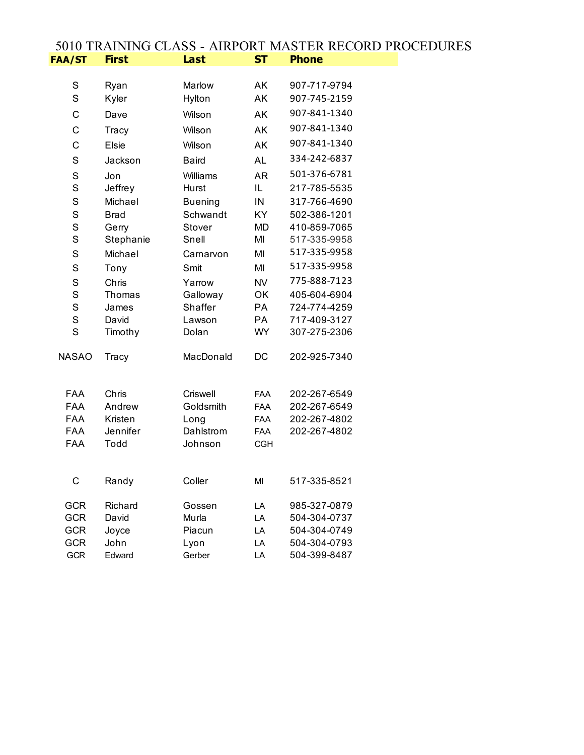## 5010 TRAINING CLASS - AIRPORT MASTER RECORD PROCEDURES<br>FAA/ST First Last ST Phone **FAA/ST First Last ST Phone**

| S            | Ryan        | Marlow         | <b>AK</b>  | 907-717-9794 |
|--------------|-------------|----------------|------------|--------------|
| S            | Kyler       | Hylton         | AK         | 907-745-2159 |
| C            | Dave        | Wilson         | AK         | 907-841-1340 |
| C            | Tracy       | Wilson         | AK         | 907-841-1340 |
| C            | Elsie       | Wilson         | AK         | 907-841-1340 |
| S            | Jackson     | <b>Baird</b>   | <b>AL</b>  | 334-242-6837 |
| S            | Jon         | Williams       | <b>AR</b>  | 501-376-6781 |
| S            | Jeffrey     | Hurst          | IL         | 217-785-5535 |
| S            | Michael     | <b>Buening</b> | IN         | 317-766-4690 |
| S            | <b>Brad</b> | Schwandt       | <b>KY</b>  | 502-386-1201 |
| S            | Gerry       | Stover         | <b>MD</b>  | 410-859-7065 |
| S            | Stephanie   | Snell          | MI         | 517-335-9958 |
| S            | Michael     | Carnarvon      | MI         | 517-335-9958 |
| S            | Tony        | Smit           | MI         | 517-335-9958 |
| S            | Chris       | Yarrow         | <b>NV</b>  | 775-888-7123 |
| S            | Thomas      | Galloway       | <b>OK</b>  | 405-604-6904 |
| S            | James       | Shaffer        | PA         | 724-774-4259 |
| S            | David       | Lawson         | PA         | 717-409-3127 |
| S            | Timothy     | Dolan          | <b>WY</b>  | 307-275-2306 |
| <b>NASAO</b> | Tracy       | MacDonald      | DC         | 202-925-7340 |
| <b>FAA</b>   | Chris       | Criswell       | <b>FAA</b> | 202-267-6549 |
| <b>FAA</b>   | Andrew      | Goldsmith      | <b>FAA</b> | 202-267-6549 |
| <b>FAA</b>   | Kristen     | Long           | <b>FAA</b> | 202-267-4802 |
| FAA          | Jennifer    | Dahlstrom      | FAA        | 202-267-4802 |
| <b>FAA</b>   | Todd        | Johnson        | <b>CGH</b> |              |
|              |             |                |            |              |
| C            | Randy       | Coller         | MI         | 517-335-8521 |
| <b>GCR</b>   | Richard     | Gossen         | LA         | 985-327-0879 |
| <b>GCR</b>   | David       | Murla          | LA         | 504-304-0737 |
| <b>GCR</b>   | Joyce       | Piacun         | LA         | 504-304-0749 |
| GCR          | John        | Lyon           | LA         | 504-304-0793 |
| <b>GCR</b>   | Edward      | Gerber         | LA         | 504-399-8487 |